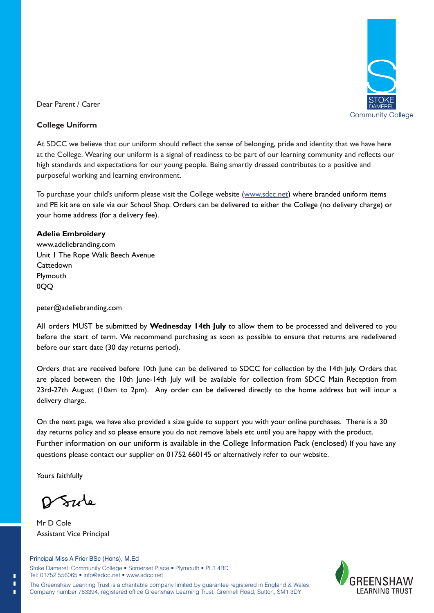

Dear Parent / Carer

### **College Uniform**

At SDCC we believe that our uniform should reflect the sense of belonging, pride and identity that we have here at the College. Wearing our uniform is a signal of readiness to be part of our learning community and reflects our high standards and expectations for our young people. Being smartly dressed contributes to a positive and purposeful working and learning environment.

To purchase your child's uniform please visit the College website (www.sdcc.net) where branded uniform items and PE kit are on sale via our School Shop. Orders can be delivered to either the College (no delivery charge) or your home address (for a delivery fee).

## **Adelie Embroidery**

www.adeliebranding.com Unit 1 The Rope Walk Beech Avenue **Cattedown** Plymouth 0QQ

### peter@adeliebranding.com

All orders MUST be submitted by **Wednesday 14th July** to allow them to be processed and delivered to you before the start of term. We recommend purchasing as soon as possible to ensure that returns are redelivered before our start date (30 day returns period). PE kit are on sale via our School Shop. Orders can be delivered to either the College (no delivery charge)<br>home address (for a delivery fee).<br>**elie Embroidery**<br>vadeliebranding.com<br>addeliebranding.com<br>outh<br>nouth<br>outh<br>outh<br>o

Orders that are received before 10th June can be delivered to SDCC for collection by the 14th July. Orders that are placed between the 10th June-14th July will be available for collection from SDCC Main Reception from 23rd-27th August (10am to 2pm). Any order can be delivered directly to the home address but will incur a delivery charge.

On the next page, we have also provided a size guide to support you with your online purchases. There is a 30 On the next page, we have also provided a size guide to support you with your online purchases. There is<br>day returns policy and so please ensure you do not remove labels etc until you are happy with the product. Further information on our uniform is available in the College Information Pack (enclosed) If you have any questions please contact our supplier on 01752 660145 or alternatively refer to our website.

Yours faithfully

Π п П

<u>Szole</u>

Mr D Cole Assistant Vice Principal

I FARNING TRUST

The Greenshaw Learning Trust is a charitable company limited by guarantee registered in England & Wales. Company number 763394, registered office Greenshaw Learning Trust, Grennell Road, Sutton, SM1 3DY